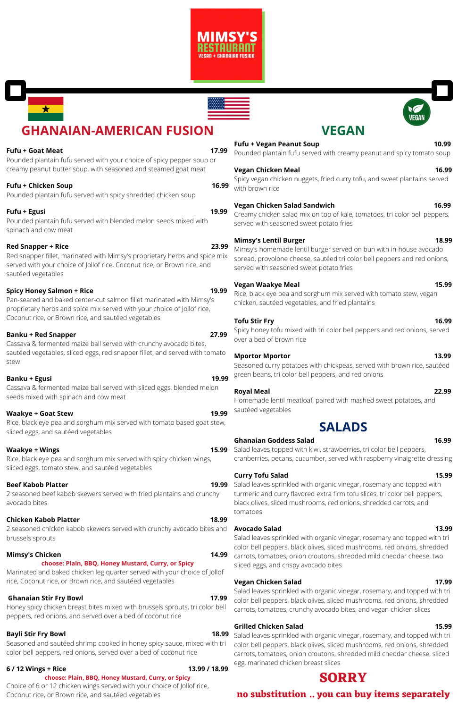



# **GHANAIAN-AMERICAN FUSION**

stew

Rice, black eye pea and sorghum mix served with spicy chicken wings, sliced eggs, tomato stew, and sautéed vegetables

### **Beef Kabob Platter**

2 seasoned beef kabob skewers served with fried plantains and crunchy avocado bites

#### **Chicken Kabob Platter 18.99**

2 seasoned chicken kabob skewers served with crunchy avocado bites and **Avocado Salad 13.99** brussels sprouts

#### **Mimsy's Chicken 14.99**

#### **choose: Plain, BBQ, Honey Mustard, Curry, or Spicy**

Marinated and baked chicken leg quarter served with your choice of Jollof rice, Coconut rice, or Brown rice, and sautéed vegetables

#### **Fufu + Goat Meat 17.99** Pounded plantain fufu served with your choice of spicy pepper soup or creamy peanut butter soup, with seasoned and steamed goat meat **Fufu + Chicken Soup 16.99** Pounded plantain fufu served with spicy shredded chicken soup **Fufu + Egusi 19.99** Pounded plantain fufu served with blended melon seeds mixed with spinach and cow meat **Red Snapper + Rice 23.99** Red snapper fillet, marinated with Mimsy's proprietary herbs and spice mix served with your choice of Jollof rice, Coconut rice, or Brown rice, and sautéed vegetables **Spicy Honey Salmon + Rice 19.99** Pan-seared and baked center-cut salmon fillet marinated with Mimsy's proprietary herbs and spice mix served with your choice of Jollof rice, Coconut rice, or Brown rice, and sautéed vegetables **Banku + Red Snapper 27.99** Cassava & fermented maize ball served with crunchy avocado bites, sautéed vegetables, sliced eggs, red snapper fillet, and served with tomato **Banku + Egusi 19.99** Cassava & fermented maize ball served with sliced eggs, blended melon seeds mixed with spinach and cow meat **Waakye + Goat Stew 19.99** Rice, black eye pea and sorghum mix served with tomato based goat stew, sliced eggs, and sautéed vegetables **Waakye** + **Wings Fufu + Vegan Peanut Soup 10.99 Vegan Chicken Meal 16.99** with brown rice **Vegan Chicken Salad Sandwich 16.99** served with seasoned sweet potato fries **Mimsy's Lentil Burger 18.99** served with seasoned sweet potato fries **Vegan Waakye Meal 15.99 Tofu Stir Fry 16.99** over a bed of brown rice **Mportor Mportor 13.99 Royal Meal 22.99** sautéed vegetables **SALADS Ghanaian Goddess Salad 16.99**

**15.99** Salad leaves topped with kiwi, strawberries, tri color bell peppers, cranberries, pecans, cucumber, served with raspberry vinaigrette dressing

#### **Ghanaian Stir Fry Bowl 17.99**

Honey spicy chicken breast bites mixed with brussels sprouts, tri color bell peppers, red onions, and served over a bed of coconut rice

## 19.99 Salad leaves sprinkled with organic vinegar, rosemary and topped with turmeric and curry flavored extra firm tofu slices, tri color bell peppers, black olives, sliced mushrooms, red onions, shredded carrots, and tomatoes

### **Bayli Stir Fry Bowl 18.99**

Seasoned and sautéed shrimp cooked in honey spicy sauce, mixed with tri color bell peppers, red onions, served over a bed of coconut rice

#### **6 / 12 Wings + Rice 13.99 / 18.99**

## **choose: Plain, BBQ, Honey Mustard, Curry, or Spicy**

Choice of 6 or 12 chicken wings served with your choice of Jollof rice, Coconut rice, or Brown rice, and sautéed vegetables

**18.99** Salad leaves sprinkled with organic vinegar, rosemary, and topped with tri color bell peppers, black olives, sliced mushrooms, red onions, shredded carrots, tomatoes, onion croutons, shredded mild cheddar cheese, sliced egg, marinated chicken breast slices

## **VEGAN**

Pounded plantain fufu served with creamy peanut and spicy tomato soup

Spicy vegan chicken nuggets, fried curry tofu, and sweet plantains served

Creamy chicken salad mix on top of kale, tomatoes, tri color bell peppers,

Mimsy's homemade lentil burger served on bun with in-house avocado spread, provolone cheese, sautéed tri color bell peppers and red onions,

Rice, black eye pea and sorghum mix served with tomato stew, vegan chicken, sautéed vegetables, and fried plantains

Spicy honey tofu mixed with tri color bell peppers and red onions, served

Seasoned curry potatoes with chickpeas, served with brown rice, sautéed green beans, tri color bell peppers, and red onions

Homemade lentil meatloaf, paired with mashed sweet potatoes, and

## **Curry Tofu Salad 15.99**

Salad leaves sprinkled with organic vinegar, rosemary and topped with tri color bell peppers, black olives, sliced mushrooms, red onions, shredded carrots, tomatoes, onion croutons, shredded mild cheddar cheese, two sliced eggs, and crispy avocado bites

#### **Vegan Chicken Salad 17.99**

Salad leaves sprinkled with organic vinegar, rosemary, and topped with tri color bell peppers, black olives, sliced mushrooms, red onions, shredded carrots, tomatoes, crunchy avocado bites, and vegan chicken slices

#### **Grilled Chicken Salad 15.99**

## **SORRY**

**no substitution .. you can buy items separately**